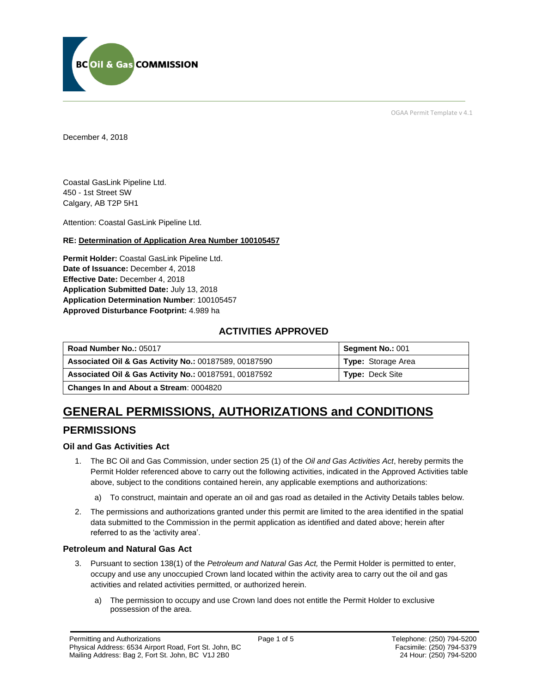

OGAA Permit Template v 4.1

December 4, 2018

Coastal GasLink Pipeline Ltd. 450 - 1st Street SW Calgary, AB T2P 5H1

Attention: Coastal GasLink Pipeline Ltd.

#### **RE: Determination of Application Area Number 100105457**

**Permit Holder:** Coastal GasLink Pipeline Ltd. Date of Issuance: December 4, 2018 **Effective Date:** December 4, 2018 **Application Submitted Date:** July 13, 2018 **Application Determination Number**: 100105457 **Approved Disturbance Footprint:** 4.989 ha

### **ACTIVITIES APPROVED**

| Road Number No.: 05017                                           | <b>Segment No.: 001</b>   |
|------------------------------------------------------------------|---------------------------|
| <b>Associated Oil &amp; Gas Activity No.: 00187589, 00187590</b> | <b>Type:</b> Storage Area |
| <b>Associated Oil &amp; Gas Activity No.: 00187591, 00187592</b> | <b>Type: Deck Site</b>    |
| <b>Changes In and About a Stream: 0004820</b>                    |                           |

# **GENERAL PERMISSIONS, AUTHORIZATIONS and CONDITIONS**

## **PERMISSIONS**

#### **Oil and Gas Activities Act**

- 1. The BC Oil and Gas Commission, under section 25 (1) of the *Oil and Gas Activities Act*, hereby permits the Permit Holder referenced above to carry out the following activities, indicated in the Approved Activities table above, subject to the conditions contained herein, any applicable exemptions and authorizations:
	- a) To construct, maintain and operate an oil and gas road as detailed in the Activity Details tables below.
- 2. The permissions and authorizations granted under this permit are limited to the area identified in the spatial data submitted to the Commission in the permit application as identified and dated above; herein after referred to as the 'activity area'.

#### **Petroleum and Natural Gas Act**

- 3. Pursuant to section 138(1) of the *Petroleum and Natural Gas Act,* the Permit Holder is permitted to enter, occupy and use any unoccupied Crown land located within the activity area to carry out the oil and gas activities and related activities permitted, or authorized herein.
	- a) The permission to occupy and use Crown land does not entitle the Permit Holder to exclusive possession of the area.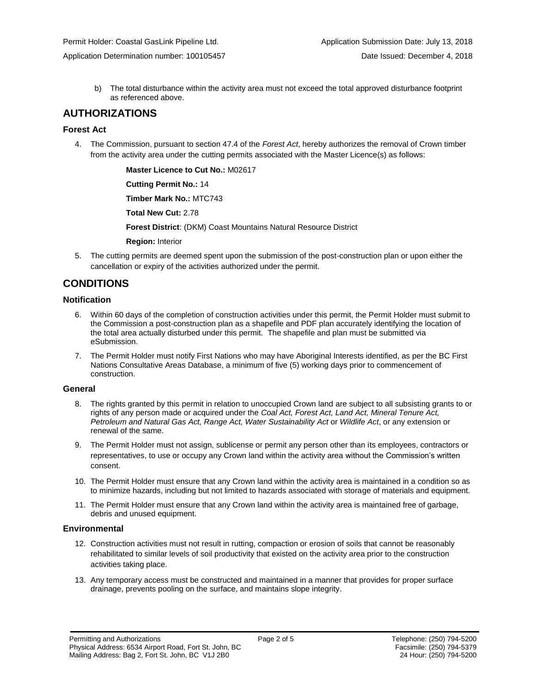Application Determination number: 100105457 Date Issued: December 4, 2018

b) The total disturbance within the activity area must not exceed the total approved disturbance footprint as referenced above.

## **AUTHORIZATIONS**

#### **Forest Act**

4. The Commission, pursuant to section 47.4 of the *Forest Act*, hereby authorizes the removal of Crown timber from the activity area under the cutting permits associated with the Master Licence(s) as follows:

**Master Licence to Cut No.:** M02617

**Cutting Permit No.:** 14

**Timber Mark No.:** MTC743

**Total New Cut:** 2.78

**Forest District**: (DKM) Coast Mountains Natural Resource District

**Region:** Interior

5. The cutting permits are deemed spent upon the submission of the post-construction plan or upon either the cancellation or expiry of the activities authorized under the permit.

# **CONDITIONS**

#### **Notification**

- 6. Within 60 days of the completion of construction activities under this permit, the Permit Holder must submit to the Commission a post-construction plan as a shapefile and PDF plan accurately identifying the location of the total area actually disturbed under this permit. The shapefile and plan must be submitted via eSubmission.
- 7. The Permit Holder must notify First Nations who may have Aboriginal Interests identified, as per the BC First Nations Consultative Areas Database, a minimum of five (5) working days prior to commencement of construction.

#### **General**

- 8. The rights granted by this permit in relation to unoccupied Crown land are subject to all subsisting grants to or rights of any person made or acquired under the *Coal Act, Forest Act, Land Act, Mineral Tenure Act, Petroleum and Natural Gas Act, Range Act, Water Sustainability Act* or *Wildlife Act*, or any extension or renewal of the same.
- 9. The Permit Holder must not assign, sublicense or permit any person other than its employees, contractors or representatives, to use or occupy any Crown land within the activity area without the Commission's written consent.
- 10. The Permit Holder must ensure that any Crown land within the activity area is maintained in a condition so as to minimize hazards, including but not limited to hazards associated with storage of materials and equipment.
- 11. The Permit Holder must ensure that any Crown land within the activity area is maintained free of garbage, debris and unused equipment.

#### **Environmental**

- 12. Construction activities must not result in rutting, compaction or erosion of soils that cannot be reasonably rehabilitated to similar levels of soil productivity that existed on the activity area prior to the construction activities taking place.
- 13. Any temporary access must be constructed and maintained in a manner that provides for proper surface drainage, prevents pooling on the surface, and maintains slope integrity.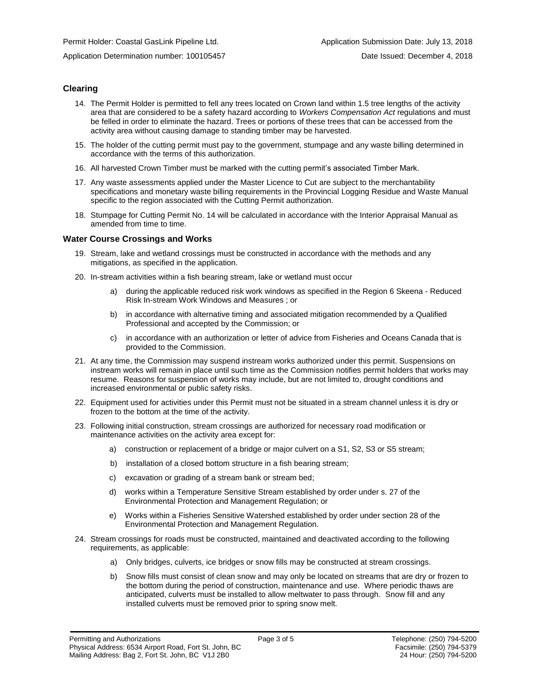Application Determination number: 100105457 Date Issued: December 4, 2018

#### **Clearing**

- 14. The Permit Holder is permitted to fell any trees located on Crown land within 1.5 tree lengths of the activity area that are considered to be a safety hazard according to *Workers Compensation Act* regulations and must be felled in order to eliminate the hazard. Trees or portions of these trees that can be accessed from the activity area without causing damage to standing timber may be harvested.
- 15. The holder of the cutting permit must pay to the government, stumpage and any waste billing determined in accordance with the terms of this authorization.
- 16. All harvested Crown Timber must be marked with the cutting permit's associated Timber Mark.
- 17. Any waste assessments applied under the Master Licence to Cut are subject to the merchantability specifications and monetary waste billing requirements in the Provincial Logging Residue and Waste Manual specific to the region associated with the Cutting Permit authorization.
- 18. Stumpage for Cutting Permit No. 14 will be calculated in accordance with the Interior Appraisal Manual as amended from time to time.

#### **Water Course Crossings and Works**

- 19. Stream, lake and wetland crossings must be constructed in accordance with the methods and any mitigations, as specified in the application.
- 20. In-stream activities within a fish bearing stream, lake or wetland must occur
	- a) during the applicable reduced risk work windows as specified in the Region 6 Skeena Reduced Risk In-stream Work Windows and Measures ; or
	- b) in accordance with alternative timing and associated mitigation recommended by a Qualified Professional and accepted by the Commission; or
	- c) in accordance with an authorization or letter of advice from Fisheries and Oceans Canada that is provided to the Commission.
- 21. At any time, the Commission may suspend instream works authorized under this permit. Suspensions on instream works will remain in place until such time as the Commission notifies permit holders that works may resume. Reasons for suspension of works may include, but are not limited to, drought conditions and increased environmental or public safety risks.
- 22. Equipment used for activities under this Permit must not be situated in a stream channel unless it is dry or frozen to the bottom at the time of the activity.
- 23. Following initial construction, stream crossings are authorized for necessary road modification or maintenance activities on the activity area except for:
	- a) construction or replacement of a bridge or major culvert on a S1, S2, S3 or S5 stream;
	- b) installation of a closed bottom structure in a fish bearing stream;
	- c) excavation or grading of a stream bank or stream bed;
	- d) works within a Temperature Sensitive Stream established by order under s. 27 of the Environmental Protection and Management Regulation; or
	- e) Works within a Fisheries Sensitive Watershed established by order under section 28 of the Environmental Protection and Management Regulation.
- 24. Stream crossings for roads must be constructed, maintained and deactivated according to the following requirements, as applicable:
	- a) Only bridges, culverts, ice bridges or snow fills may be constructed at stream crossings.
	- b) Snow fills must consist of clean snow and may only be located on streams that are dry or frozen to the bottom during the period of construction, maintenance and use. Where periodic thaws are anticipated, culverts must be installed to allow meltwater to pass through. Snow fill and any installed culverts must be removed prior to spring snow melt.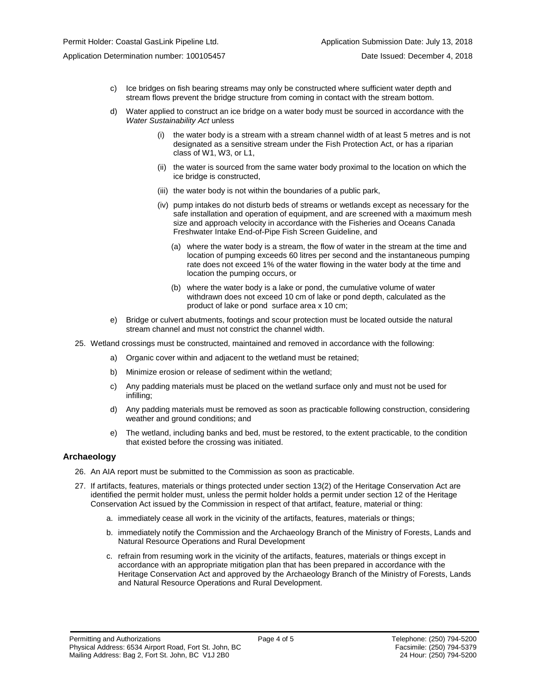- c) Ice bridges on fish bearing streams may only be constructed where sufficient water depth and stream flows prevent the bridge structure from coming in contact with the stream bottom.
- d) Water applied to construct an ice bridge on a water body must be sourced in accordance with the *Water Sustainability Act* unless
	- (i) the water body is a stream with a stream channel width of at least 5 metres and is not designated as a sensitive stream under the Fish Protection Act, or has a riparian class of W1, W3, or L1,
	- (ii) the water is sourced from the same water body proximal to the location on which the ice bridge is constructed,
	- (iii) the water body is not within the boundaries of a public park,
	- (iv) pump intakes do not disturb beds of streams or wetlands except as necessary for the safe installation and operation of equipment, and are screened with a maximum mesh size and approach velocity in accordance with the Fisheries and Oceans Canada Freshwater Intake End-of-Pipe Fish Screen Guideline, and
		- (a) where the water body is a stream, the flow of water in the stream at the time and location of pumping exceeds 60 litres per second and the instantaneous pumping rate does not exceed 1% of the water flowing in the water body at the time and location the pumping occurs, or
		- (b) where the water body is a lake or pond, the cumulative volume of water withdrawn does not exceed 10 cm of lake or pond depth, calculated as the product of lake or pond surface area x 10 cm;
- e) Bridge or culvert abutments, footings and scour protection must be located outside the natural stream channel and must not constrict the channel width.
- 25. Wetland crossings must be constructed, maintained and removed in accordance with the following:
	- a) Organic cover within and adjacent to the wetland must be retained;
	- b) Minimize erosion or release of sediment within the wetland;
	- c) Any padding materials must be placed on the wetland surface only and must not be used for infilling;
	- d) Any padding materials must be removed as soon as practicable following construction, considering weather and ground conditions; and
	- e) The wetland, including banks and bed, must be restored, to the extent practicable, to the condition that existed before the crossing was initiated.

#### **Archaeology**

- 26. An AIA report must be submitted to the Commission as soon as practicable.
- 27. If artifacts, features, materials or things protected under section 13(2) of the Heritage Conservation Act are identified the permit holder must, unless the permit holder holds a permit under section 12 of the Heritage Conservation Act issued by the Commission in respect of that artifact, feature, material or thing:
	- a. immediately cease all work in the vicinity of the artifacts, features, materials or things;
	- b. immediately notify the Commission and the Archaeology Branch of the Ministry of Forests, Lands and Natural Resource Operations and Rural Development
	- c. refrain from resuming work in the vicinity of the artifacts, features, materials or things except in accordance with an appropriate mitigation plan that has been prepared in accordance with the Heritage Conservation Act and approved by the Archaeology Branch of the Ministry of Forests, Lands and Natural Resource Operations and Rural Development.